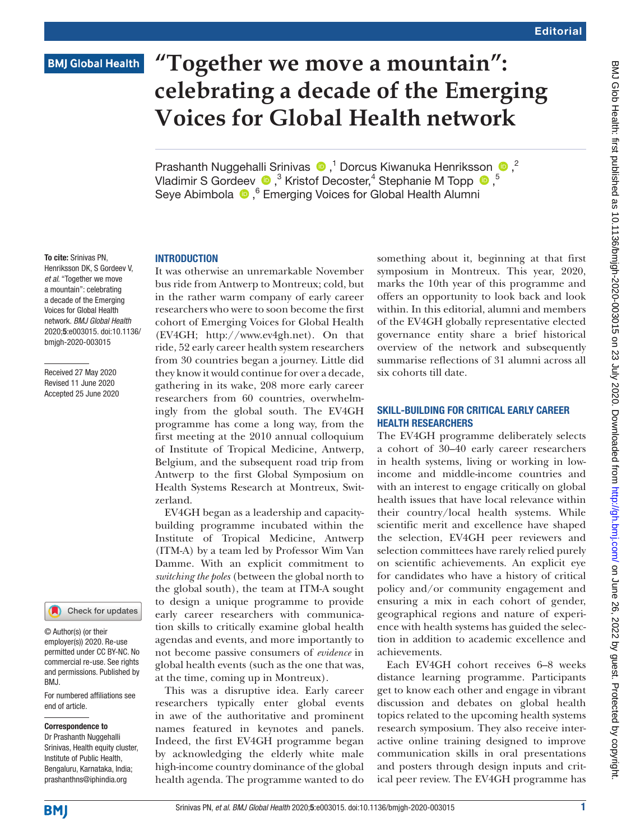## **BMJ Global Health**

# **"Together we move a mountain": celebrating a decade of the Emerging Voices for Global Health network**

PrashanthNuggehalli Srinivas  $\bullet$ ,<sup>1</sup> Dorcus Kiwanuka Henriksson  $\bullet$ ,<sup>2</sup> VladimirS Gordeev  $\bigcirc$ ,<sup>3</sup> Kristof Decoster,<sup>4</sup> Stephanie M Topp  $\bigcirc$ ,<sup>5</sup> Seye Abimbola  $\bullet$ , <sup>6</sup> Emerging Voices for Global Health Alumni

#### **INTRODUCTION**

It was otherwise an unremarkable November bus ride from Antwerp to Montreux; cold, but in the rather warm company of early career researchers who were to soon become the first cohort of Emerging Voices for Global Health (EV4GH; <http://www.ev4gh.net>). On that ride, 52 early career health system researchers from 30 countries began a journey. Little did they know it would continue for over a decade, gathering in its wake, 208 more early career researchers from 60 countries, overwhelmingly from the global south. The EV4GH programme has come a long way, from the first meeting at the 2010 annual colloquium of Institute of Tropical Medicine, Antwerp, Belgium, and the subsequent road trip from Antwerp to the first Global Symposium on Health Systems Research at Montreux, Switzerland.

EV4GH began as a leadership and capacitybuilding programme incubated within the Institute of Tropical Medicine, Antwerp (ITM-A) by a team led by Professor Wim Van Damme. With an explicit commitment to *switching the poles* (between the global north to the global south), the team at ITM-A sought to design a unique programme to provide early career researchers with communication skills to critically examine global health agendas and events, and more importantly to not become passive consumers of *evidence* in global health events (such as the one that was, at the time, coming up in Montreux).

This was a disruptive idea. Early career researchers typically enter global events in awe of the authoritative and prominent names featured in keynotes and panels. Indeed, the first EV4GH programme began by acknowledging the elderly white male high-income country dominance of the global health agenda. The programme wanted to do

something about it, beginning at that first symposium in Montreux. This year, 2020, marks the 10th year of this programme and offers an opportunity to look back and look within. In this editorial, alumni and members of the EV4GH globally representative elected governance entity share a brief historical overview of the network and subsequently summarise reflections of 31 alumni across all six cohorts till date.

### SKILL-BUILDING FOR CRITICAL EARLY CAREER HEALTH RESEARCHERS

The EV4GH programme deliberately selects a cohort of 30–40 early career researchers in health systems, living or working in lowincome and middle-income countries and with an interest to engage critically on global health issues that have local relevance within their country/local health systems. While scientific merit and excellence have shaped the selection, EV4GH peer reviewers and selection committees have rarely relied purely on scientific achievements. An explicit eye for candidates who have a history of critical policy and/or community engagement and ensuring a mix in each cohort of gender, geographical regions and nature of experience with health systems has guided the selection in addition to academic excellence and achievements.

Each EV4GH cohort receives 6–8 weeks distance learning programme. Participants get to know each other and engage in vibrant discussion and debates on global health topics related to the upcoming health systems research symposium. They also receive interactive online training designed to improve communication skills in oral presentations and posters through design inputs and critical peer review. The EV4GH programme has

To cite: Srinivas PN, Henriksson DK, S Gordeev V, *et al*. "Together we move a mountain": celebrating a decade of the Emerging Voices for Global Health network. *BMJ Global Health* 2020;5:e003015. doi:10.1136/ bmjgh-2020-003015

Received 27 May 2020 Revised 11 June 2020 Accepted 25 June 2020

#### Check for updates

© Author(s) (or their employer(s)) 2020. Re-use permitted under CC BY-NC. No commercial re-use. See rights and permissions. Published by BMJ.

For numbered affiliations see end of article.

#### Correspondence to

Dr Prashanth Nuggehalli Srinivas, Health equity cluster, Institute of Public Health, Bengaluru, Karnataka, India; prashanthns@iphindia.org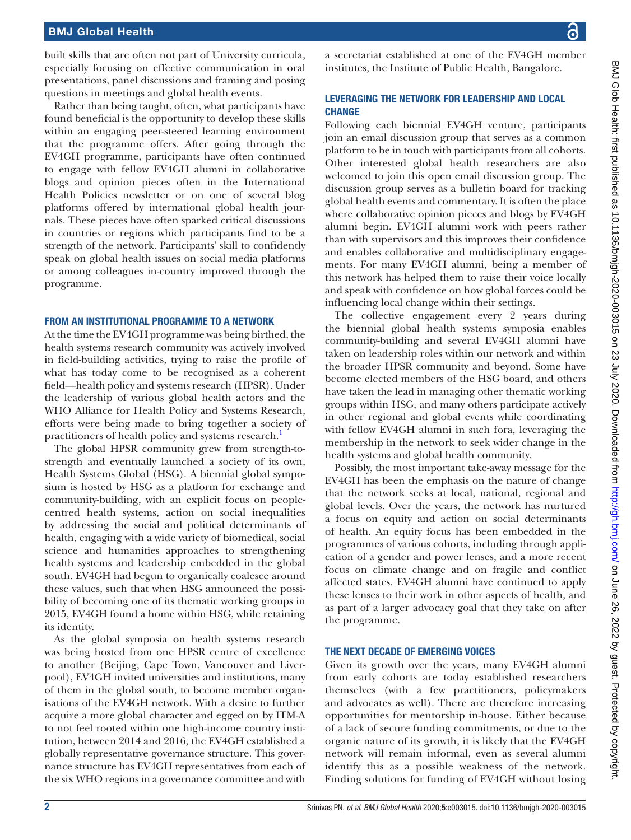### BMJ Global Health

built skills that are often not part of University curricula, especially focusing on effective communication in oral presentations, panel discussions and framing and posing questions in meetings and global health events.

Rather than being taught, often, what participants have found beneficial is the opportunity to develop these skills within an engaging peer-steered learning environment that the programme offers. After going through the EV4GH programme, participants have often continued to engage with fellow EV4GH alumni in collaborative blogs and opinion pieces often in the International Health Policies newsletter or on one of several blog platforms offered by international global health journals. These pieces have often sparked critical discussions in countries or regions which participants find to be a strength of the network. Participants' skill to confidently speak on global health issues on social media platforms or among colleagues in-country improved through the programme.

#### FROM AN INSTITUTIONAL PROGRAMME TO A NETWORK

At the time the EV4GH programme was being birthed, the health systems research community was actively involved in field-building activities, trying to raise the profile of what has today come to be recognised as a coherent field—health policy and systems research (HPSR). Under the leadership of various global health actors and the WHO Alliance for Health Policy and Systems Research, efforts were being made to bring together a society of practitioners of health policy and systems research.<sup>1</sup>

The global HPSR community grew from strength-tostrength and eventually launched a society of its own, Health Systems Global (HSG). A biennial global symposium is hosted by HSG as a platform for exchange and community-building, with an explicit focus on peoplecentred health systems, action on social inequalities by addressing the social and political determinants of health, engaging with a wide variety of biomedical, social science and humanities approaches to strengthening health systems and leadership embedded in the global south. EV4GH had begun to organically coalesce around these values, such that when HSG announced the possibility of becoming one of its thematic working groups in 2015, EV4GH found a home within HSG, while retaining its identity.

As the global symposia on health systems research was being hosted from one HPSR centre of excellence to another (Beijing, Cape Town, Vancouver and Liverpool), EV4GH invited universities and institutions, many of them in the global south, to become member organisations of the EV4GH network. With a desire to further acquire a more global character and egged on by ITM-A to not feel rooted within one high-income country institution, between 2014 and 2016, the EV4GH established a globally representative governance structure. This governance structure has EV4GH representatives from each of the six WHO regions in a governance committee and with

a secretariat established at one of the EV4GH member institutes, the Institute of Public Health, Bangalore.

### LEVERAGING THE NETWORK FOR LEADERSHIP AND LOCAL **CHANGE**

Following each biennial EV4GH venture, participants join an email discussion group that serves as a common platform to be in touch with participants from all cohorts. Other interested global health researchers are also welcomed to join this open email discussion group. The discussion group serves as a bulletin board for tracking global health events and commentary. It is often the place where collaborative opinion pieces and blogs by EV4GH alumni begin. EV4GH alumni work with peers rather than with supervisors and this improves their confidence and enables collaborative and multidisciplinary engagements. For many EV4GH alumni, being a member of this network has helped them to raise their voice locally and speak with confidence on how global forces could be influencing local change within their settings.

The collective engagement every 2 years during the biennial global health systems symposia enables community-building and several EV4GH alumni have taken on leadership roles within our network and within the broader HPSR community and beyond. Some have become elected members of the HSG board, and others have taken the lead in managing other thematic working groups within HSG, and many others participate actively in other regional and global events while coordinating with fellow EV4GH alumni in such fora, leveraging the membership in the network to seek wider change in the health systems and global health community.

Possibly, the most important take-away message for the EV4GH has been the emphasis on the nature of change that the network seeks at local, national, regional and global levels. Over the years, the network has nurtured a focus on equity and action on social determinants of health. An equity focus has been embedded in the programmes of various cohorts, including through application of a gender and power lenses, and a more recent focus on climate change and on fragile and conflict affected states. EV4GH alumni have continued to apply these lenses to their work in other aspects of health, and as part of a larger advocacy goal that they take on after the programme.

#### THE NEXT DECADE OF EMERGING VOICES

Given its growth over the years, many EV4GH alumni from early cohorts are today established researchers themselves (with a few practitioners, policymakers and advocates as well). There are therefore increasing opportunities for mentorship in-house. Either because of a lack of secure funding commitments, or due to the organic nature of its growth, it is likely that the EV4GH network will remain informal, even as several alumni identify this as a possible weakness of the network. Finding solutions for funding of EV4GH without losing